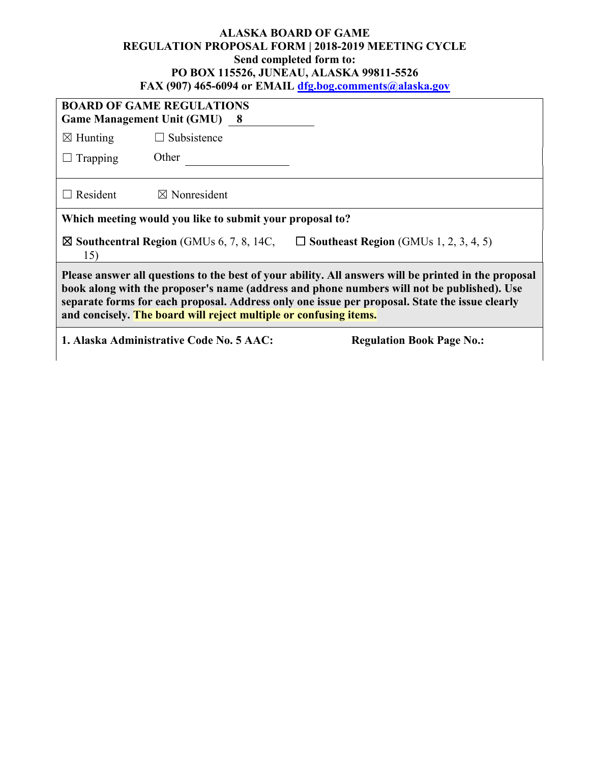## **ALASKA BOARD OF GAME REGULATION PROPOSAL FORM | 2018-2019 MEETING CYCLE Send completed form to: PO BOX 115526, JUNEAU, ALASKA 99811-5526 FAX (907) 465-6094 or EMAIL [dfg.bog.comments@alaska.gov](mailto:dfg.bog.comments@alaska.gov)**

| <b>BOARD OF GAME REGULATIONS</b><br><b>Game Management Unit (GMU) 8</b>                                                                                                                                                                                                                                                                                                   |                                                                              |  |  |  |  |
|---------------------------------------------------------------------------------------------------------------------------------------------------------------------------------------------------------------------------------------------------------------------------------------------------------------------------------------------------------------------------|------------------------------------------------------------------------------|--|--|--|--|
| $\boxtimes$ Hunting                                                                                                                                                                                                                                                                                                                                                       | $\Box$ Subsistence                                                           |  |  |  |  |
| $\Box$ Trapping                                                                                                                                                                                                                                                                                                                                                           | Other                                                                        |  |  |  |  |
| $\Box$ Resident                                                                                                                                                                                                                                                                                                                                                           | $\boxtimes$ Nonresident                                                      |  |  |  |  |
| Which meeting would you like to submit your proposal to?                                                                                                                                                                                                                                                                                                                  |                                                                              |  |  |  |  |
| $\boxtimes$ Southcentral Region (GMUs 6, 7, 8, 14C,<br>$\Box$ Southeast Region (GMUs 1, 2, 3, 4, 5)<br>15)                                                                                                                                                                                                                                                                |                                                                              |  |  |  |  |
| Please answer all questions to the best of your ability. All answers will be printed in the proposal<br>book along with the proposer's name (address and phone numbers will not be published). Use<br>separate forms for each proposal. Address only one issue per proposal. State the issue clearly<br>and concisely. The board will reject multiple or confusing items. |                                                                              |  |  |  |  |
|                                                                                                                                                                                                                                                                                                                                                                           | 1. Alaska Administrative Code No. 5 AAC:<br><b>Regulation Book Page No.:</b> |  |  |  |  |